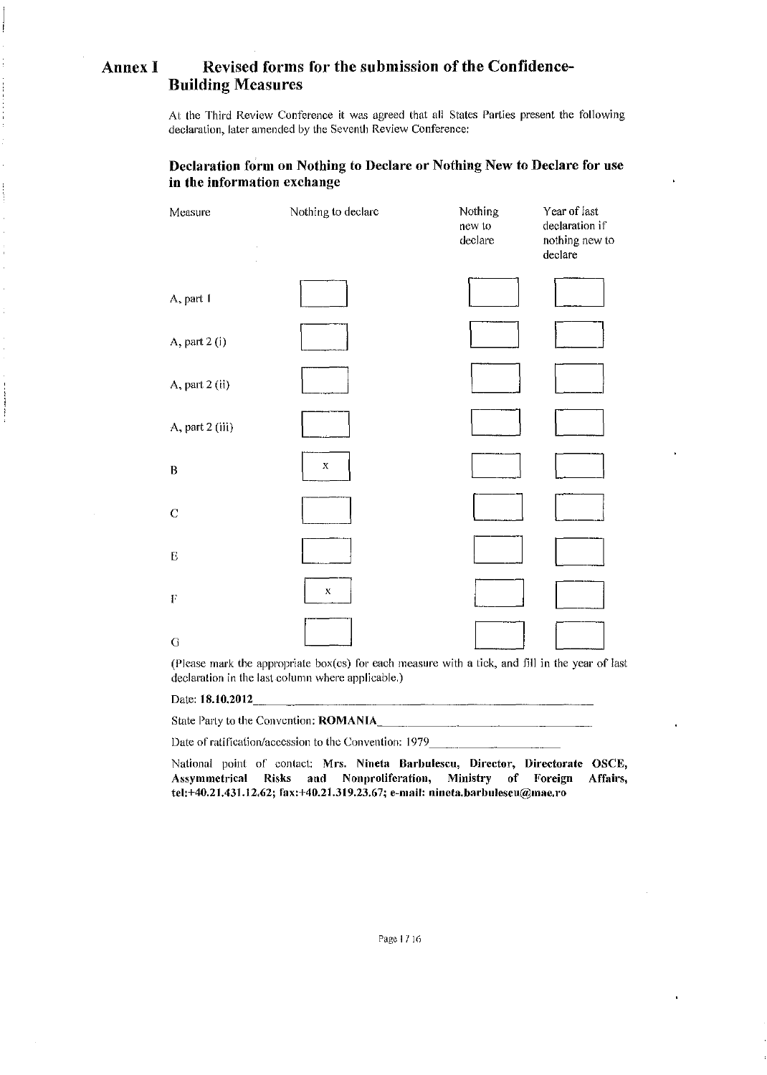# **Annex** I **Revised forms for the submission of the Confidence-Building Measures**

At the Third Review Conference it was agreed that al! States Parties present the following declaration, later amended by the Seventh Review Conference:

### **Declaration form on Nothing to Declare or Nothing New to Declare for use**  in the information exchange

| Measure         | Nothing to declare | Nothing<br>new to<br>declare | Year of last<br>declaration if<br>nothing new to<br>declare |
|-----------------|--------------------|------------------------------|-------------------------------------------------------------|
| A, part 1       |                    |                              |                                                             |
| A, part 2 (i)   |                    |                              |                                                             |
| A, part 2 (ii)  |                    |                              |                                                             |
| A, part 2 (iii) |                    |                              |                                                             |
| $\mathsf B$     | $\mathbf x$        |                              |                                                             |
| $\mathbf C$     |                    |                              |                                                             |
| $\mathbf E$     |                    |                              |                                                             |
| $\Gamma$        | $\boldsymbol{X}$   |                              |                                                             |
| ${\bf G}$       |                    |                              |                                                             |

(Please mark the appropriate box(es) for each measure with a tick, and fill in the year of last declaration in the last column where applicable,)

Date: **18.I0.2012 \_\_\_\_\_\_\_\_\_\_\_\_\_\_\_\_\_\_\_\_\_\_** <sup>~</sup>

|                                        | _______ |  |  |
|----------------------------------------|---------|--|--|
| State Party to the Convention: ROMANIA |         |  |  |

State Party to the Convention: **ROMANIA**<br>Date of ratification/accession to the Convention: 1979

National point of contact: Mrs. Nineta Barbulescu, Director, Directorate OSCE, Assymmetrical Risks and Nonproliferation, Ministry of Foreign Affairs, tel:+40.21.431.12.62; fax:+40.21.319.23.67; e-mail: nineta.barbulescu@mae.ro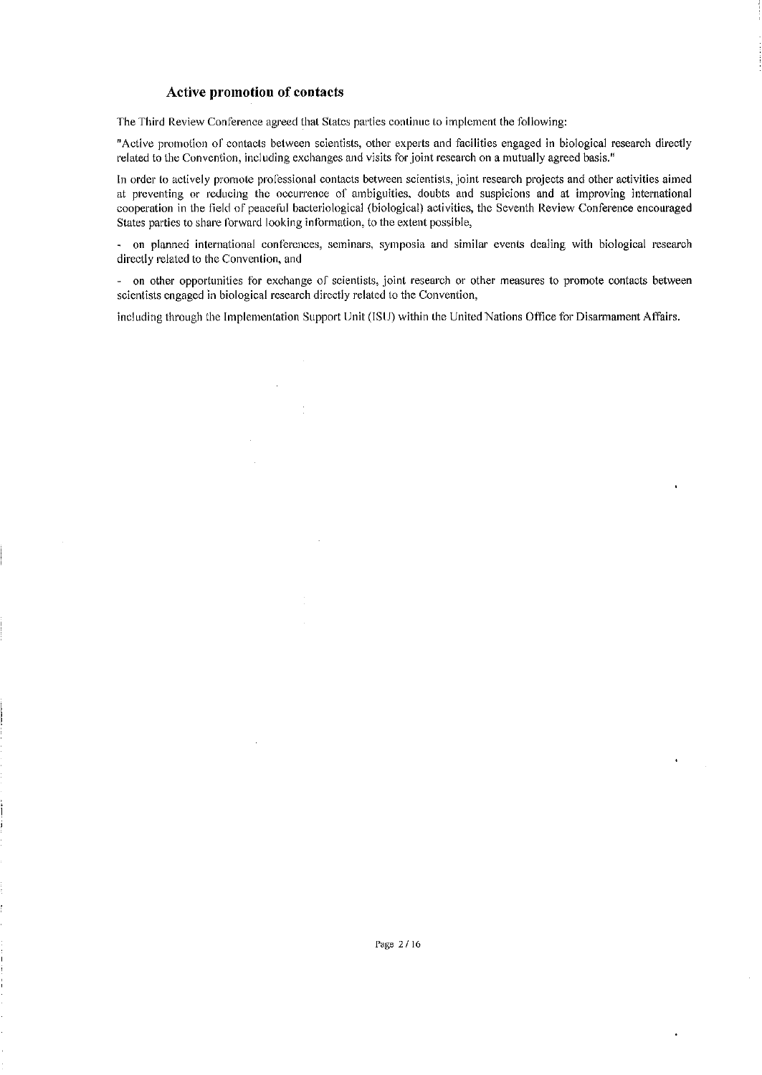### **Active promotion of contacts**

The Third Review Conference agreed that States parties continue to implement the following:

"Active promotion of contacts between scientists, other experts and facilities engaged in biological research directly related to the Convention, including exchanges and visits for joint research on a mutually agreed basis."

In order to actively promote professional contacts between scientists, joint research projects and other activities aimed at preventing or reducing the occurrence or ambiguities. doubts and suspicions and at improving international cooperation in the field of peaceful bacteriological (biological) activities, the Seventh Review Conference encouraged States parties to share forward looking information, to the extent possible,

- on planned international conferences, seminars, symposia and similar events dealing with biological research directly related to the Convention, and

- on other opportunities for exchange of scientists, joint research or other measures to promote contacts between scientists engaged in biological research directly related to the Convention,

including through the Implementation Support Unit (!SU) within the United Nations Office for Disarmament Affairs.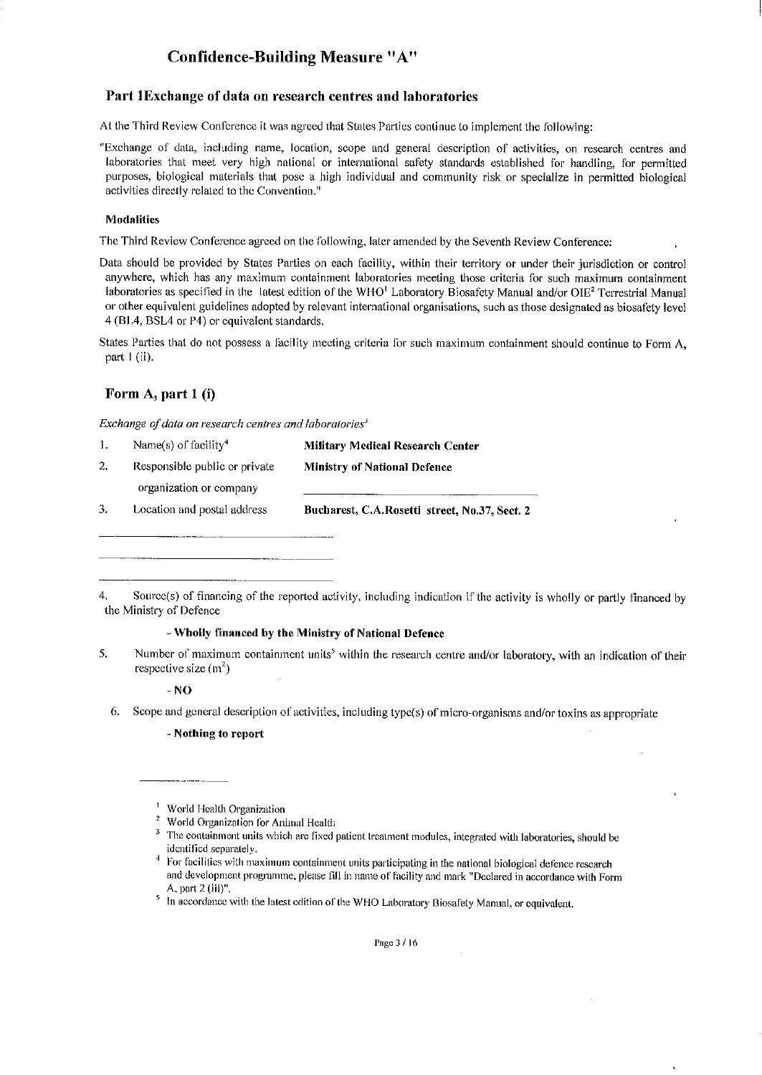# **Confidence-Building Measure "A"**

### **Part !Exchange of data on research centres and laboratories**

At the Third Review Conference it was agreed that States Parties continue to implement the following:

<sup>11</sup> Exchange of data, including name. location, scope and general description of activities, on research centres and laboratories that meet very high national or international safety standards established for handling, for permitted purposes, biological materials that pose a high individual and community risk or specialize in permitted biological activities directly related to the Convention."

#### Modalities

The Third Review Conference agreed on the following, later amended by the Seventh Review Conference:

Data should be provided by States Parties on each facility, within their territory or under their jurisdiction or control anywhere, which has any maximum containment laboratories meeting those criteria for such maximum containment laboratories as specified in the latest edition of the WHO<sup>1</sup> Laboratory Biosafety Manual and/or OIE<sup>2</sup> Terrestrial Manual or other equivalent guidelines adopted by relevant international organisations, such as those designated as biosafety level 4 (Bl ,4, BSL4 or P4) or equivalent standards.

States Parties that do not possess a facility meeting criteria for such maximum containment should continue to Form A, part I (ii).

### **Form A, part 1** (i)

*Exchange of data on research centres and laboratories*<sup>3</sup>

| 1. | Name(s) of facility <sup>4</sup> | <b>Military Medical Research Center</b>       |
|----|----------------------------------|-----------------------------------------------|
| 2. | Responsible public or private    | <b>Ministry of National Defence</b>           |
|    | organization or company          |                                               |
|    | Location and postal address      | Bucharest, C.A.Rosetti street, No.37. Sect. 2 |
|    |                                  |                                               |

#### - Wholly financed by the Ministry of National Defence

5. Number of maximum containment units<sup>5</sup> within the research centre and/or laboratory, with an indication of their respective size  $(m^2)$ 

#### **-NO**

6. Scope and general description of activities, including typc(s) of micro-organisms and/or toxins as appropriate

- Nothing to report

<sup>4.</sup> Sourcc(s) of financing of the reported activity, including indication if the activity is wholly or partly financed by the Ministry of Defence

<sup>&</sup>lt;sup>1</sup> World Health Organization

 $2$  World Organization for Animal Health

<sup>&</sup>lt;sup>3</sup> The containment units which are fixed patient treatment modules, integrated with laboratories, should be identified separately.

<sup>4</sup> <sup>1</sup>For facilities with maximum containment units participating in the national biological defence research and development programme, please fill in name of facility and mark "Declared in accordance with Form A, part 2 (iii)".

<sup>&</sup>lt;sup>5</sup> In accordance with the latest edition of the WHO Laboratory Biosafety Manual, or equivalent.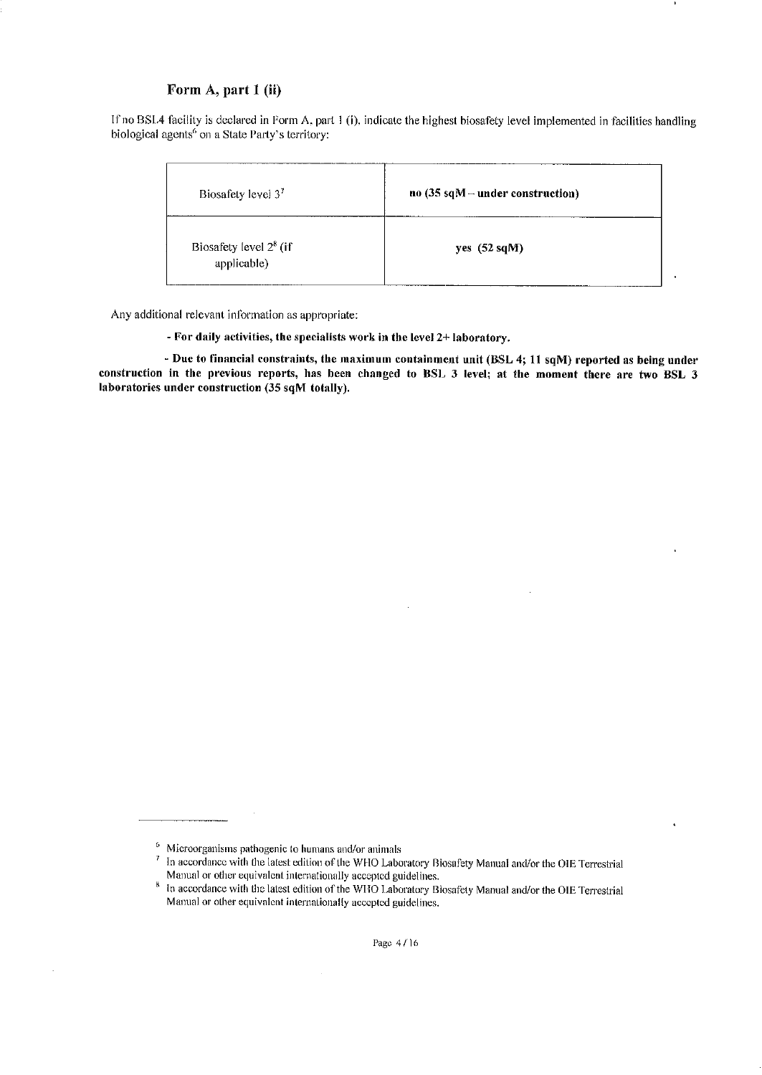### **Form A, part 1** (ii)

Ifno BSL4 facility is declared in Form A. part 1 (i), indicate the highest biosafety level implemented in facilities handling biological agents<sup>6</sup> on a State Party's territory:

| Biosafety level $37$                    | no $(35 \text{ sqM} -$ under construction) |
|-----------------------------------------|--------------------------------------------|
| Biosafety level $28$ (if<br>applicable) | yes $(52 \text{ sqM})$                     |

Any additional relevant information as appropriate:

- For daily activities, the specialists work in the level 2+ laboratory.

- Due to financial constraints, the maximum containment unit (BSL 4; 11 sqM) reported as being under construction in the previous reports, has been changed to BSL 3 level; at the moment there are two BSL 3 laboratories under construction (35 sqM totally).

<sup>&</sup>lt;sup>6</sup> Microorganisms pathogenic to humans and/or animals

<sup>&</sup>lt;sup>7</sup> In accordance with the latest edition of the WHO Laboratory Biosafety Manual and/or the OIE Terrestrial Manual or other equivalent inlernalionally accepted guidelines.

<sup>&</sup>lt;sup>8</sup> In accordance with the latest edition of the WHO Laboratory Biosafety Manual and/or the OIE Terrestrial Manual or other equivalent internationally accepted guidelines.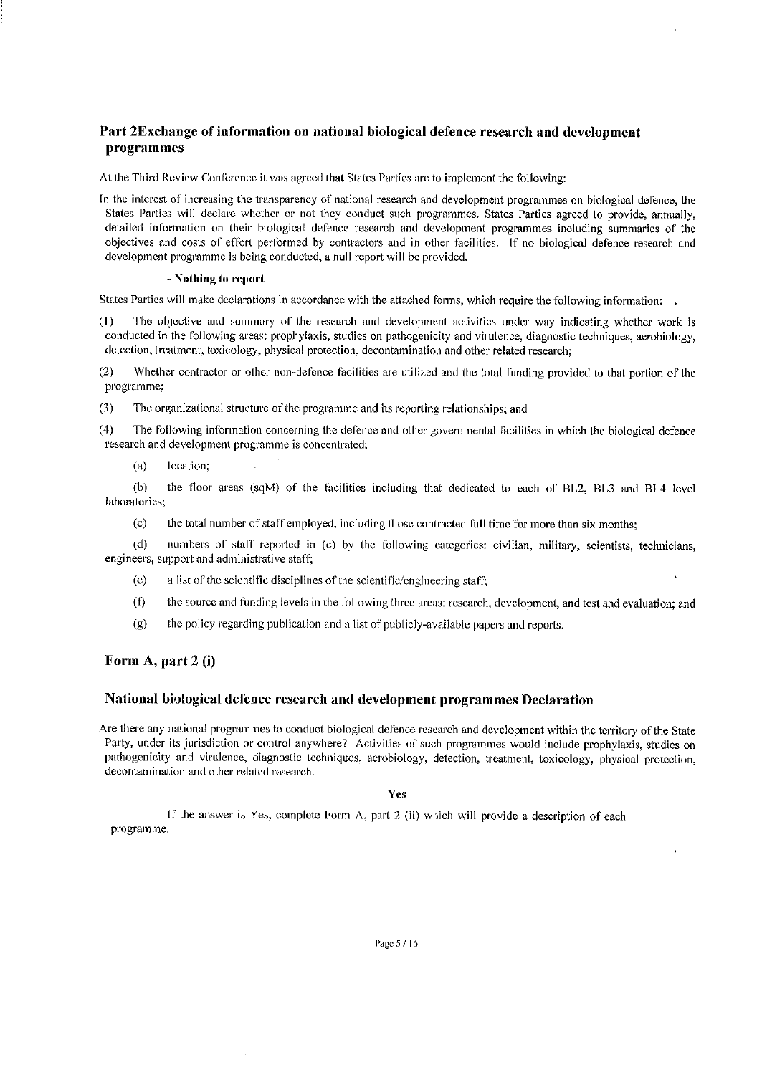### Part 2Exchange of information on national biological defence research and development **programmes**

At the Third Review Conference it was agreed that States Parties are to implement the following:

In the interest of increasing the transparency of national research and development programmes on biological defence, the States Parties will declare whether or not they conduct such programmes. States Parties agreed to provide, annually, detailed information on their biological defence research and development programmes including summaries of the objectives and costs of effort performed by contractors and in other facilities. If no biological defence research and development programme is being conducted, a null report will be provided.

#### - Nothing to report

States Parties will make declarations in accordance with the attached forms, which require the following information:

(1) The objective and summary of the research and development activities under way indicating whether work is conducted in the following areas: prophylaxis, studies on pathogenicity and virulence, diagnostic techniques, aerobiology, detection, treatment, toxicology, physical protection, decontamination and other related research;

(2) Whether contractor or other non-defence facilities are utilized and the total funding provided to that portion of the programme;

(3) The organizational structure of the programme and its reporting relationships; and

- (4) The following information concerning the defence and other governmental facilities in which the biological defence research and development programme is concentrated;
	- (a) location;

(b) the floor areas (sqM) or the facilities including that dedicated to each of BL2, BL3 and BL4 level laboratories;

( c) the total number of staff employed, including those contracted full time for more than six months;

(d) numbers or staff reported in (c) by the following categories: civilian, military, scientists, technicians, engineers, support and administrative staff;

- (e) a list of the scientific disciplines of the scientific/engineering staff;
- (t) the source and funding levels in the following three areas: research, development, and test and evaluation; and
- (g) the policy regarding publication and a list of publicly-available papers and reports.

### **Form A, part** 2 (i)

#### **National biological defence research and development programmes Declaration**

Are there any national programmes to conduct biological defence research and development within the territory of the State Party, under its jurisdiction or control anywhere? Activities of such programmes would include prophylaxis, studies on pathogcnicity and virulence, diagnostic techniques, aerobiology, detection, treatment, toxicology, physical protection, decontamination and other related research.

Yes

If the answer is Yes, complete Form A, part 2 (ii) which will provide a description of each programme.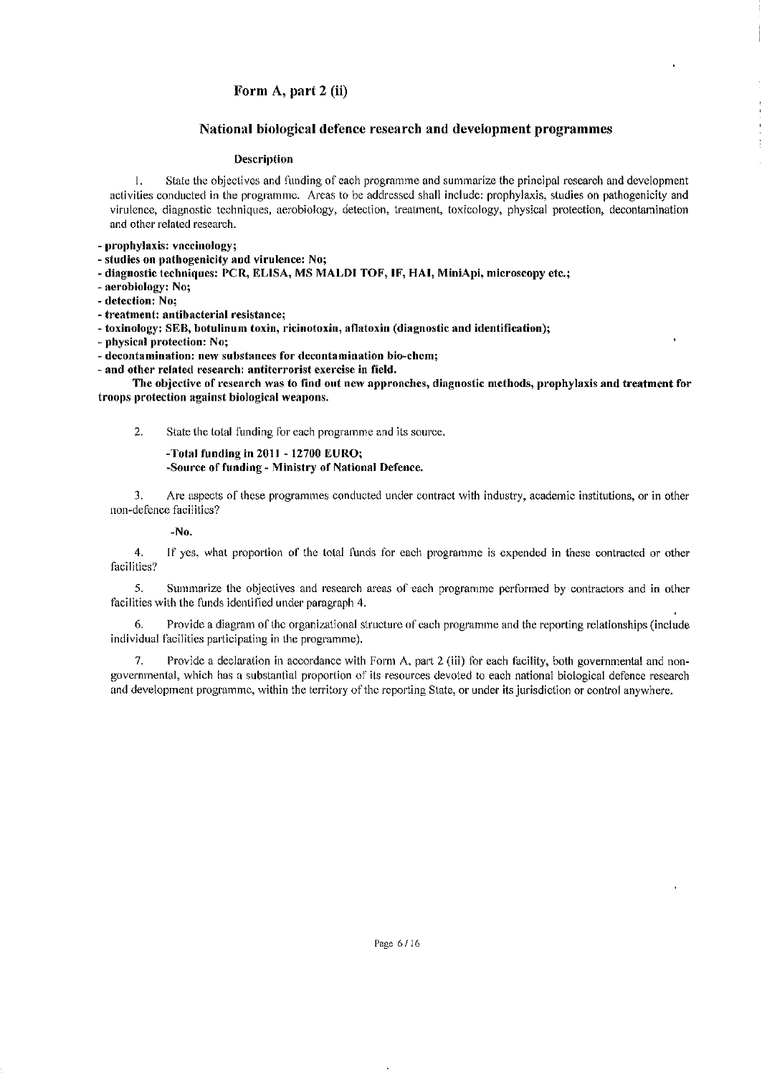### Form A, part 2 (ii)

### National biological defence research and development programmes

### Description

I. State the objectives and runding of each programme and summarize the principal research and development activities conducted in the programme. Areas to be addressed shall include: prophylaxis, studies on pathogenicity and virulence, diagnostic techniques, aerobiology, detection, treatment, toxicology, physical protection, decontamination and other related research.

- prophylaxis: vaccinology;

- studies on pathogenicity and virulence: No;
- diagnostic techniques: PCR, ELISA, MS MALDI TOF, IF, HAI, MiniApi, microscopy etc.;
- aerobiology: No;
- detection: No;
- treatment: antibacterial resistance;
- toxinology: SEB, botulinum toxin, ricinotoxin, aflatoxin (diagnostic and identification);
- physical protection: No;
- decontamination: new substances for decontamination bio-chem;
- and other related research: antiterrorist exercise in field.

The objective of research was to find out new approaches, diagnostic methods, prophylaxis and treatment for troops protection against biological weapons.

2. State the total funding for each programme and its source,

### -Total funding in 2011 - 12700 EURO; -Source of funding- Ministry of' National Defence.

3. Are aspects or these programmes conducted under contract with industry, academic institutions, or in other non-defence facilities?

### -No.

4. If yes, what proportion of the total funds for each programme is expended in these contracted or other facilities?

5. Summarize the objectives and research areas of each programme performed by contractors and in other facilities with the funds identified under paragraph 4.

6. Provide a diagram of the organizational structure of each programme and the reporting relationships (include individual facilities participating in the programme).

7. Provide a declaration in accordance with Form A, part 2 (iii) for each facility, both governmental and nongovernmental, which has a substantial proportion of its resources devoted to each national biological defence research and development programme, within the territory of the reporting State, or under its jurisdiction or control anywhere.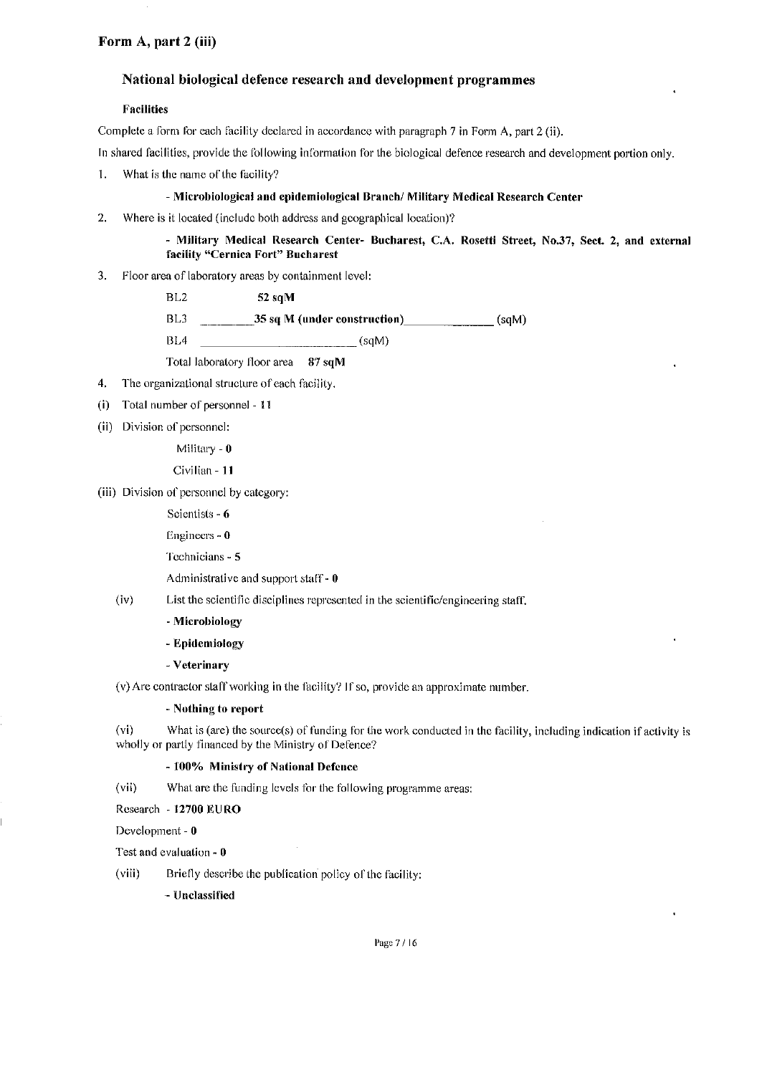### Form A, part 2 (iii)

### National biological defence research and development programmes

### Facilities

Complete a form for each facility declared in accordance with paragraph 7 in Form A, part 2 (ii).

In shared facilities, provide the following information for the biological defence research and development portion only.

1. What is the name of the facility?

#### - Microbiological and epidemiological Branch/ Military Medical Research Center

2. Where is it located (include both address and geographical location)'?

- Military Medical Research Center- Bucharest, C.A. Rosetti Street, No.37, Sect. 2, and external facility "Cernica Fort" Bucharest

- 3. Floor area of laboratory areas by containment level:
	- BL2 **52sqM**
	- BL3 **35 sq M (under construction)** (sqM)

BL4 (SqM)

Total laboratory floor area 87 sqM

- 4, The organizational structure of each facility.
- (i) Total number of personnel 11
- (ii) Division of personnel:

Military - 0

- Civilian 11
- (iii) Division of personnel by category:

Scientists - 6

Engineers - 0

Technicians - 5

Administrative and support staff - 0

### (iv) List the scientific disciplines represented in the scientific/engineering staff.

- Microbiology
- Epidemiology
- Veterinary

(v) Are contractor staff working in the facility? Jr so, provide an approximate number.

#### - Nothing to report

(vi) What is (are) the source(s) of funding for the work conducted in the facility, including indication if activity is wholly or partly financed by the Ministry of Defence?

#### - 100% Ministry of National Defence

(vii) What are the funding levels for the following programme areas:

Rcsem·ch - **12700 EU RO** 

Development - 0

Test and evaluation - 0

(viii) Briefly describe the publication policy of the facility:

- Unclassified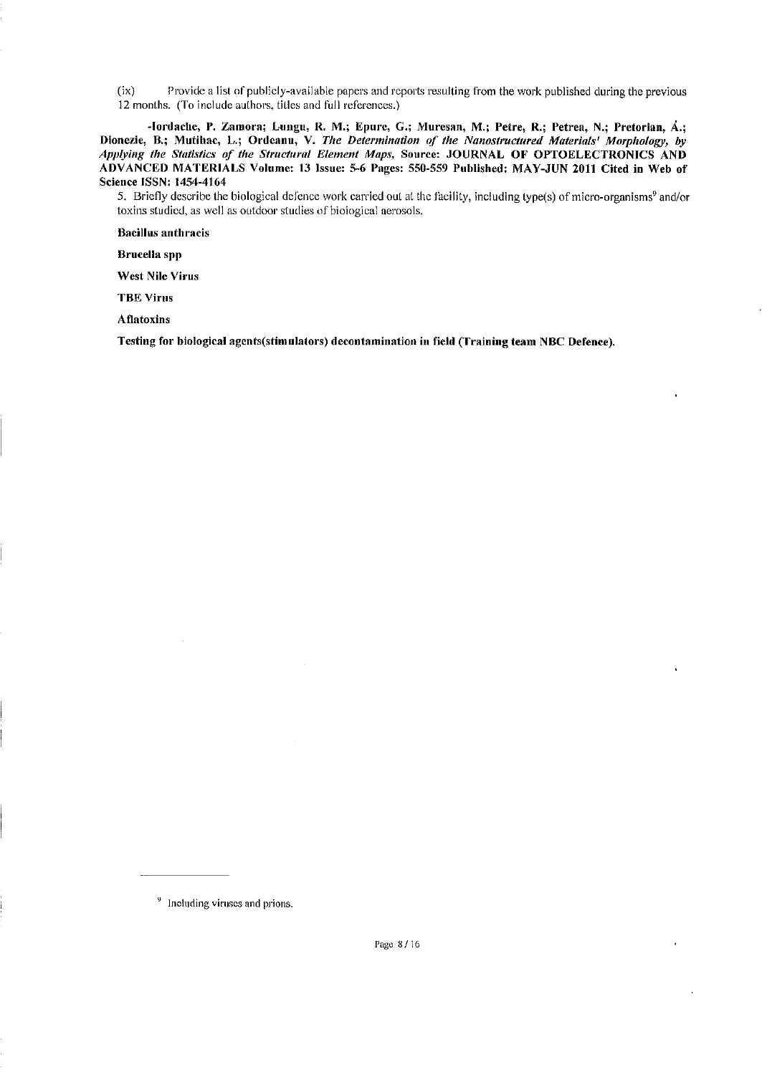(ix) Provide a list of publicly-available papers and reports resulting from the work published during the previous 12 months. (To include authors. titles and full references.)

-lordache, P. Zamora; Lungu, R. M.; Epurc, G.; Muresan, M.; Petre, R.; Petrea, N.; Pretorian, A.; Dionezie, B.; Mutihac, L.; Ordeanu, V. The Determination of the Nanostructured Materials' Morphology, by *Applying the Stlltistics of the Structural Element Mllps,* Source: JOURNAL **OF** OPTOELECTRONICS AND ADVANCED MATERIALS Volume: 13 Issue: 5-6 Pnges: 550-559 Published: MAY-JUN 2011 Cited in Web of Science ISSN: 1454-4164

5. Briefly describe the biological defence work carried out at the facility, including type(s) of micro-organisms<sup>9</sup> and/or toxins studied, as well as outdoor studies of biological aerosols.

Bacillus anthracis

Brucella spp

West Nile Virus

TBE Virus

Aflatoxins

Testing for biological agcnts(stimulators) decontamination in field (Training team NBC Defence),

<sup>&</sup>lt;sup>9</sup> Including viruses and prions.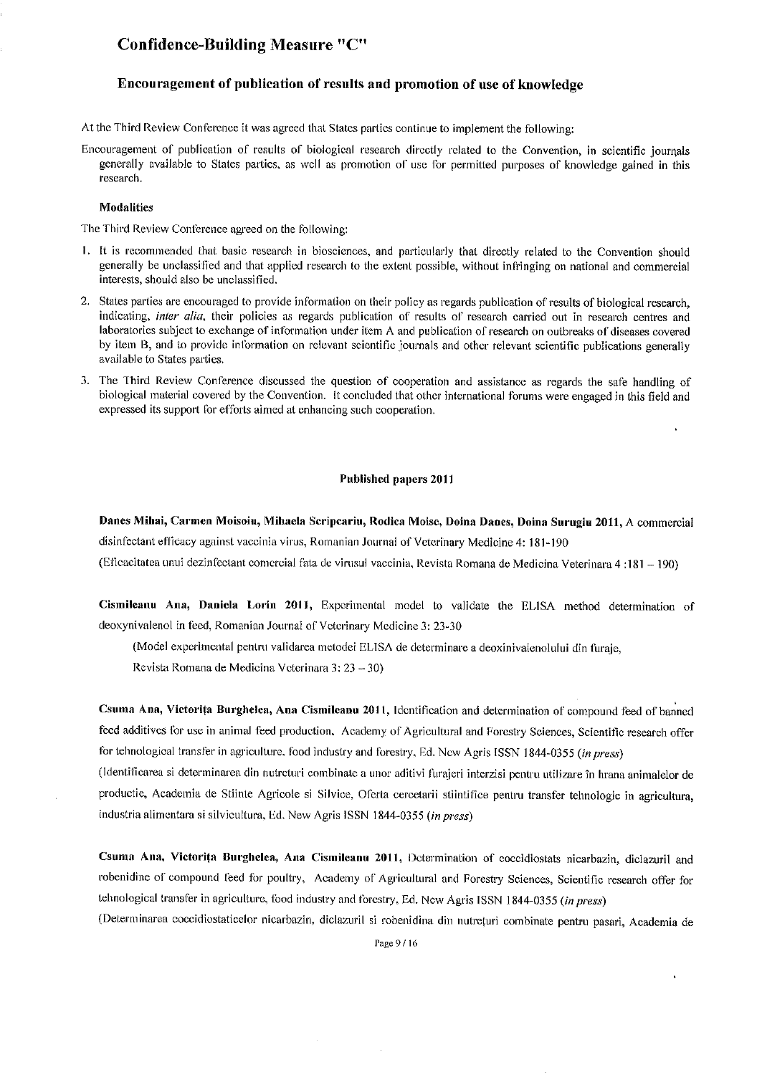# Confidence-Building Measure "C"

### Encouragement of publication of results and promotion of use of knowledge

At the Third Review Conference it was agreed that States parties continue to implement the following:

Encouragement of publication of results of biological research directly related to the Convention, in scientific journals generally available to States parties, as well as promotion of use for permitted purposes of knowledge gained in this research,

#### Modalities

The Third Review Conference agreed on the following:

- 1. It is recommended that basic research in bloscicnces, and particularly that directly related to the Convention should generally be unclassified and that applied research to the extent possible, without infringing on national and commercial interests, should also be unclassified.
- 2. States parties are encouraged to provide information on their policy as regards publication of results of biological research, indicating, *inter alia*, their policies as regards publication of results of research carried out in research centres and laboratories subject to exchange of information under item A and publication of research on outbreaks of diseases covered by item B, and to provide information on relevant scientific journals and other relevant scientific publications generally available to States parties.
- 3. The Third Review Conference discussed the question of cooperation and assistance as regards the safe handling of biological material covered by the Convention. It concluded that other international forums were engaged in this field and expressed its support for efforts aimed at enhancing such cooperation.

#### Published papers 2011

Danes Mihai, Carmen Moisoiu, Mihaela Scripcariu, Rodica Moise, Doina Danes, Doina Surugiu 2011, A commercial disinfectant efficacy against vaccinia virus, Romanian Journal of Veterinary Medicine 4: 181-190 (Eficacitatca unui dezinfectant comcrcial fata Jc virusul vaccinia, Rcvista Romana de Medicina Veterinara 4 :181 - 190)

Cismileanu Ana, Daniela Lorin 2011, Experimental model to validate the ELISA method determination of deoxynivalenol in feed, Romanian Journal of Veterinary Medicine 3: 23-30

(Model experimental pentru validarea metodei ELISA de determinare a deoxinivalenolului din furaje,

Revista Romana de Medicina Vctcrinara 3: 23 --30)

Csuma Ana, Victorița Burghelea, Ana Cismileanu 2011, Identification and determination of compound feed of banned feed additives for use in animal feed production, Academy of Agricultural and Forestry Sciences, Scientific research offer for tehnological transfer in agriculture, food industry and forestry. Rd. New Agris ISSN 1844-0355 *(in press)* 

(Identificarea si determinarea din nutreturi combinate a unor aditivi furajeri interzisi pentru utilizare în hrana animalelor de productie, Academia de Stiinte Agricole si Silvice, Oferta cercetarii stiintifice pentru transfer tehnologic in agricultura, industria alimentara si silviculturn, Ed. New Agris ISSN 1844-0355 *(in press)* 

Csuma Ana, Victorița Burghelea, Ana Cismileanu 2011, Determination of coccidiostats nicarbazin, diclazuril and robenidine of compound feed for poultry, Academy of Agricultural and Forestry Sciences, Scientific research offer for tehnological transfer in agriculture, food industry and forestry, Ed. New Agris ISSN 1844-0355 *(in press)* 

(Determinarea coccidiostaticelor nicarbazin, diclazuril si robenidina din nutreturi combinate pentru pasari, Academia de

Page9/16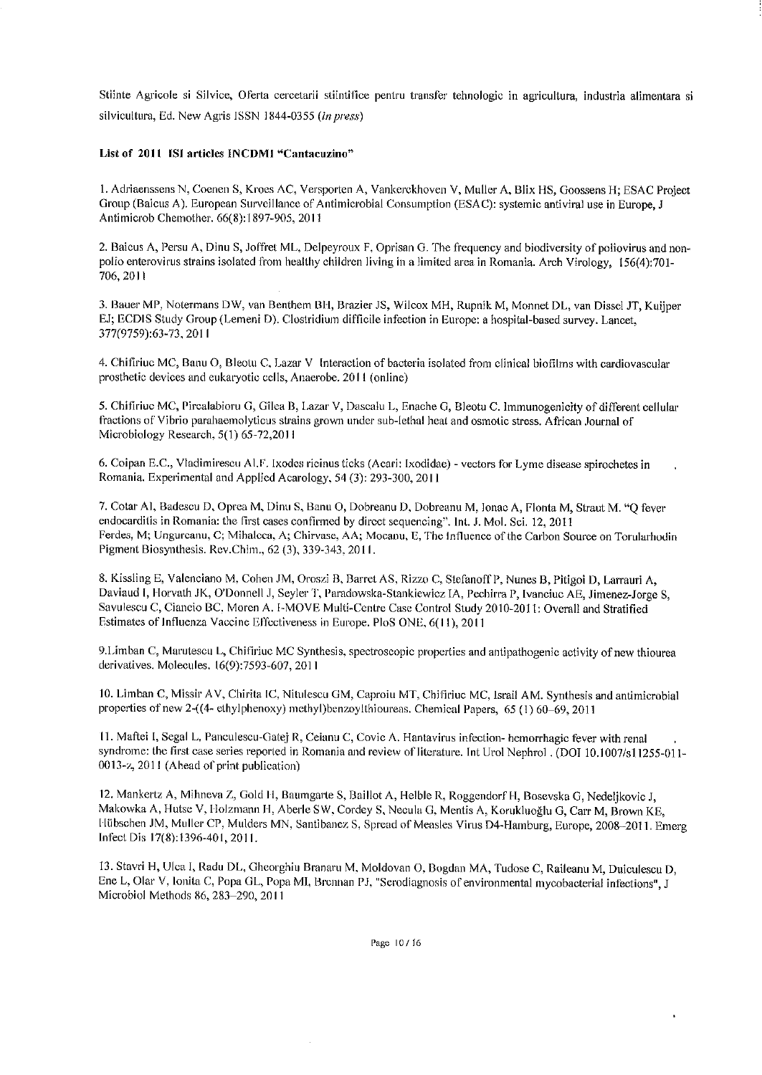Stiinte Agricole si Silvice, Oferta cercetarii stiintilice pentru transfer tehnologic in agricultura, industria alimentara si silvicultura, Ed. New Agris ISSN 1844-0355 (in press)

#### List of 2011 ISI articles INCDMI "Cantacuzino"

1. Adriaenssens N, Coenen S, Kroes AC, Versporten A, Vankerckhoven V, Muller A, Blix HS, Goossens H; ESAC Project Group (Baicus A). European Surveillance of Antimicrobial Consumption (ESAC): systemic antiviral use in Europe, J Antimicrob Chcmother. 66(8): 1897-905, 2011

2. Baicus A, Persu A, Dinu S, Joffret ML, Delpeyroux F, Oprisan G. The frequency and biodiversity of poliovirus and nonpolio enterovirus strains isolated from healthy children living in a limited area in Romania. Arch Virology, 156(4):701- 706, 2011

3. Bauer MP, Notermans DW, van Benthcm BH, Brazier JS, Wilcox MH, Rupnik M, Monnet DL, van Dissel JT, Kuijper EJ; ECDIS Study Group (Lemeni D). Clostridium diflicile infection in Europe: a hospital-based survey. Lancet, 377(9759):63-73, 2011

4. Chifiriuc MC, Banu 0, Bleotu C. Lazar V Interaction of bacteria isolated from clinical biofilms with cardiovascular prosthetic devices and eukaryotic cells, Anaerobe. 2011 (online)

5. Chifiriuc MC, Pircalabioru G, Gîlea B, Lazar V, Dascalu L, Enache G, Bleotu C. Immunogenicity of different cellular fractions of Vibrio parahaemolyticus strains grown under sub-lethal heat and osmotic stress. African Journal of Microbiology Research, 5(1) 65-72,2011

6. Coipan E.C., Vladirnirescu Al.F. Ixodcs ricinus ticks (Acari: Ixodidac) - vectors for Lyme disease spirochetes in Romania. Experimental and Applied Acarology, 54 (3): 293-300, 2011

7. Cotar AI, Badescu D, Oprea M, Dinu S, Banu O, Dobreanu D, Dobreanu M, Ionac A, Flonta M, Straut M. "Q fever endocarditis in Romania: the first cases confirmed by direct sequencing". Int. J. Mol. Sci. 12, 2011 Ferdes, M; Ungurcanu, C; Mihalcca, A; Chirvase, AA; Mocanu, E, The Influence of the Carbon Source on Torularhodin Pigment Biosynlhesis. Rev.Chim., 62 (3), 339-343, 2011.

8. Kissling E, Valenciano M, Cohen JM, Oroszi B, Barret AS, Rizzo C, Stefanoff P, Nunes B, Pitigoi D, Larrauri A, Daviaud I, Horvath JK, O'Donnell J, Seyler T, Paradowska-Stankiewicz IA, Pechirra P, Ivanciuc AE, Jimenez-Jorge S, Savulescu C, Ciancio BC, Moren A. I-MOVE Multi-Centre Case Control Study 2010-2011: Overall and Stratified Estimates of Influenza Vaccine Effectiveness in Europe. PloS ONE, 6( 11 ), 2011

9.Limban C, Marutescu L, Chifiriuc MC Synthesis, spectroscopic properties and antipathogenic activity of new thiourea derivatives. Molecules. 16(9):7593-607, 2011

10. Lim ban C, Missir AV, Chirita IC, Nitulescu GM, Caproiu MT, Chifiriuc MC, lsrail AM. Synthesis and antimicrobial properties of new 2-((4- cthylphenoxy) methyl)benzoylthioureas. Chemical Papers, 65 (I) 60-69, 2011

11. Maftei I, Segal L, Panculescu-Gatej R, Ceianu C, Covic A. Hantavirus infection- hemorrhagic fever with renal syndrome: the first case series reported in Romania and review of literature. Int Urol Nephrol . (DOI 10.1007/s11255-011-0013-z, 2011 (Ahead of print publication)

12. Mankertz A, Mihneva Z, Gold H, Baumgarte S, Baillot A, Helble R, Roggendorf H, Bosevska G, Nedeljkovic J, Makowka A, Hutse V, Holzmann H, Aberle SW, Cordey S, Necula G, Mentis A, Korukluoğlu G, Carr M, Brown KE, Hübschen JM, Muller CP, Mulders MN, Santibanez S, Spread of Measles Virus D4-Hamburg, Europe, 2008-2011. Emerg Infect Dis 17(8):1396-401, 2011.

13. Stavri H, Ulca I, Radu DL, Ghcorghiu Branaru M, Moldovan 0, Bogdan MA, Tudose C, Raileanu M, Duiculescu D, Ene L, Olar V, lonita C, Popa GL, Popa MI, Brennan PJ, "Serodiagnosis of environmental mycobacterial infections", J Microbial Methods 86, 283-290, 2011

Page 10/ 16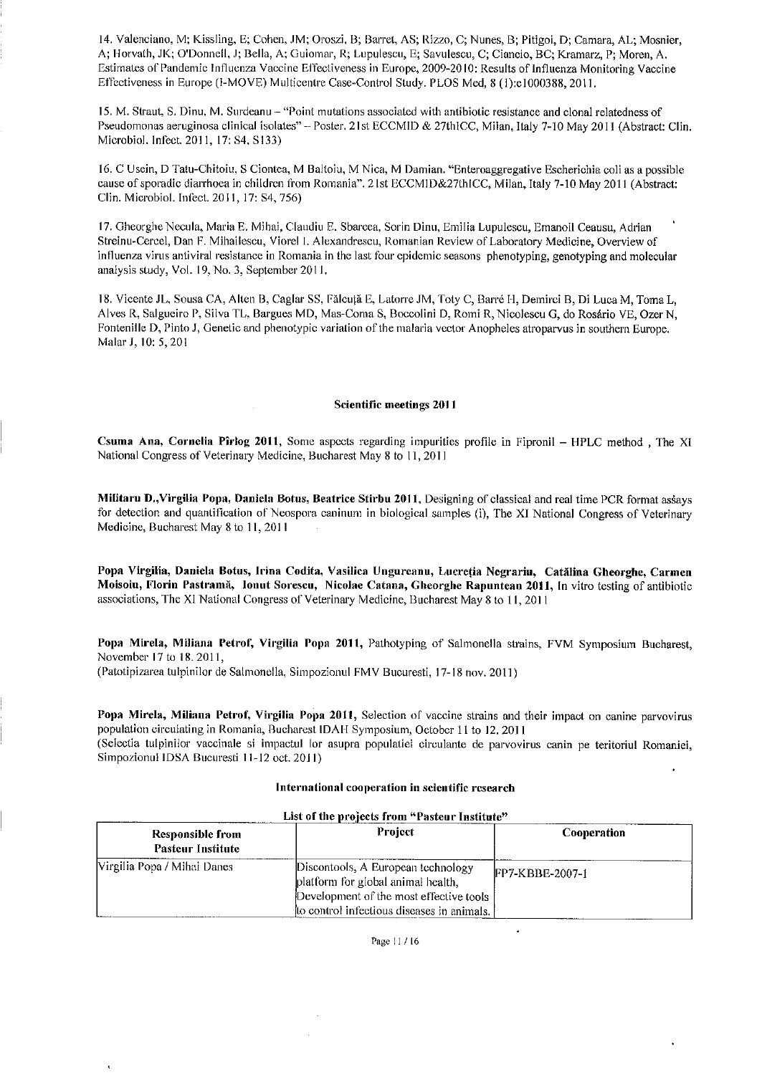14. Valenciano, M; Kissling, E; Cohen, JM; Oroszi, B; Barret, AS; Rizzo, C; Nunes, B; Pitigoi, D; Camara, AL; Mosnier, A; Horvath, JK; O'Donnell, J; l3ella, A; Guiomar, R; Lupulescu, E; Savulescu, C; Ciancio, BC; Kramarz, P; Moren, A. Estimates of Pandemic Influenza Vaccine Effectiveness in Europe, 2009-2010: Results of Influenza Monitoring Vaccine Effectiveness in Europe (I-MOVE) Multicentre Case-Control Study. PLOS Med, 8 (]):el 000388, 2011.

15. M. Straut, S. Dinu. M. Surdeanu - "Point mutations associated with antibiotic resistance and clonal relatedness of Pseudomonas aeruginosa clinical isolates" -- Poster. 21st ECCMID & 27thICC, Milan, Italy 7-10 May 2011 (Abstract: Clin. Microbiol. Infect. 2011, 17: S4, S133)

16. C Usein, D Tatu-Chitoiu, S Ciontea, M Baltoiu, M Nica, M Damian. "·Enteroaggregative Escherichia coli as a possible cause of sporadic diarrhoea in children from Romania". 21st ECCMID&27th!CC, Milan, Italy 7-10 May 2011 (Abstract: Clin. Microbial. Infect.2011, 17: S4, 756)

17. Gheorghe Necula, Maria E. Mihai, Claudiu E. Sbarcea, Sorin Dhrn, Emilia Lupulescu, Emanoil Ceausu, Adrian Streinu-Cercel, Dan F. Mihailescu, Viorel I. Alexandrescu, Romanian Review of Laboratory Medicine, Overview of influenza virus antiviral resistance in Romania in the last four epidemic seasons phenotyping, genotyping and molecular analysis study, Vol. 19, No. 3, September 2011.

18. Vicente JL, Sousa CA, Alten B, Caglar SS, Fălcuță E, Latorre JM, Toty C, Barré H, Demirci B, Di Luca M, Toma L, Alves R, Salgueiro P, Silva TL, Bargues MD, Mas-Coma S, Boccolini D, Romi R, Nicolescu G, do Rosario VE, OzerN, Fontenille D, Pinto J, Genetic and phenotypic varialion of the malaria vector Anopheles atroparvus in southern Europe. Malar J, 10: 5, 201

#### Scientific meetings 2011

Csuma Ana, Cornelia Pirlog 2011, Some aspects regarding impurities profile in Fipronil - HPLC method , The XI National Congress of Veterinary Medicine, Bucharest May 8 to 11,201 l

Militaru D., Virgilia Popa, Daniela Botus, Beatrice Stirbu 2011, Designing of classical and real time PCR format assays for detection and quantification of Neospora caninum in biological samples (i), The XI National Congress of Veterinary Medicine, Bucharest May 8 to 11, 2011

Popa Virgilia, Daniela Botus, Irina Codita, Vasilica Ungureanu, Lucreția Negrariu, Catălina Gheorghe, Carmen Moisoiu, Florin Pastramă, Ionut Sorescu, Nicolae Catana, Gheorghe Rapuntean 2011, In vitro testing of antibiotic associations, The XI National Congress of Veterinary Medicine, Bucharest May 8 to 11, 2011

Popa Mirela, Miliana Petrof, Virgilia Popa 2011, Pathotyping of Salmonella strains, FVM Symposium Bucharest, November 17 to 18, 2011,

(Patotipizarca tulpinilor de Salmonella, Simpozionul FMV Bucuresti, 17-18 nov. 2011)

Popa Mirela, Miliana Petrof, Virgilia Popa 2011, Selection of vaccine strains and their impact on canine parvovirus population circulating in Romania, Bucharest IDAH Symposium, October 11 to 12. 2011

(Selectia tulpinilor vaccinale si impactul lor asupra populatiei circulante de parvovirus canin pe teritoriul Romaniei, Simpozionul IDSA Bucuresti 11-12 oct. 2011)

#### International cooperation in scientific research

| Responsible from<br><b>Pasteur Institute</b> | Project                                                                                                                                                           | Cooperation            |
|----------------------------------------------|-------------------------------------------------------------------------------------------------------------------------------------------------------------------|------------------------|
| Virgilia Popa / Mihai Danes                  | Discontools, A European technology<br>platform for global animal health.<br>Development of the most effective tools<br>to control infectious diseases in animals. | <b>FP7-KBBE-2007-1</b> |

### List of the projects from "Dasteur Institute"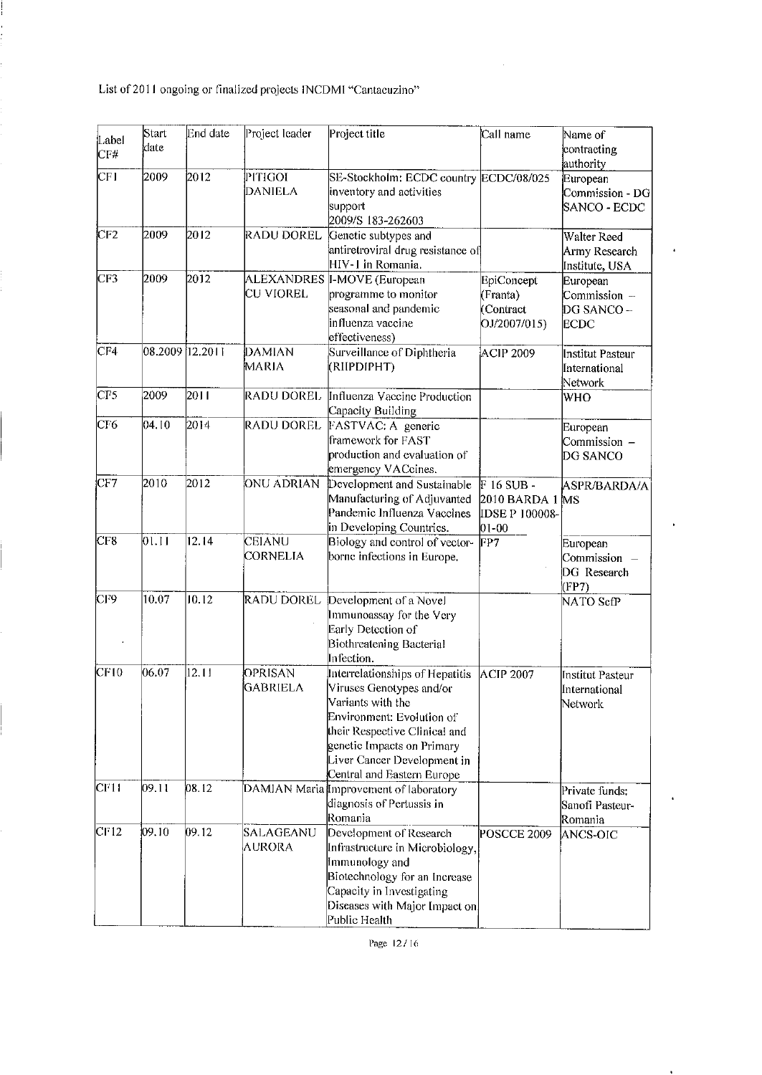List of 2011 ongoing or finalized projects INCDMI "Cantacuzino"

| Label<br>CF# | Start<br>date | End date        | Project leader                   | Project title                                                                                                                                                                                                                                       | Call name                                                               | Name of<br>contracting<br>authority                  |
|--------------|---------------|-----------------|----------------------------------|-----------------------------------------------------------------------------------------------------------------------------------------------------------------------------------------------------------------------------------------------------|-------------------------------------------------------------------------|------------------------------------------------------|
| CF1          | 2009          | 2012            | PITIGOI<br>DANIELA               | SE-Stockholm: ECDC country ECDC/08/025<br>inventory and activities<br>support<br>2009/S 183-262603                                                                                                                                                  |                                                                         | European<br>Commission - DG<br>SANCO - ECDC          |
| CF2          | 2009          | 2012            | RADU DOREL                       | Genetic subtypes and<br>antiretroviral drug resistance of<br>HIV-1 in Romania.                                                                                                                                                                      |                                                                         | Walter Reed<br>Army Research<br>Institute, USA       |
| CF3          | 2009          | 2012            | CU VIOREL                        | ALEXANDRES   I-MOVE (European<br>programme to monitor<br>seasonal and pandemic<br>influenza vaccine<br>effectiveness)                                                                                                                               | EpiConcept<br>(Franta)<br>(Contract<br>OJ/2007/015)                     | European<br>Commission -<br>DG SANCO-<br><b>ECDC</b> |
| CF4          |               | 08.2009 12.2011 | DAMIAN<br>MARIA                  | Surveillance of Diphtheria<br>(RIIPDIPHT)                                                                                                                                                                                                           | <b>ACIP 2009</b>                                                        | Institut Pasteur<br>International<br>Network         |
| CFS          | 2009          | 2011            | RADU DOREL                       | Influenza Vaccine Production<br>Capacity Building                                                                                                                                                                                                   |                                                                         | <b>WHO</b>                                           |
| CF6          | 04.10         | 2014            | RADU DOREL                       | FASTVAC: A generic<br>framework for FAST<br>production and evaluation of<br>emergency VACcines.                                                                                                                                                     |                                                                         | European<br>Commission -<br>DG SANCO                 |
| CF7          | 2010          | 2012            | ONU ADRIAN                       | Development and Sustainable<br>Manufacturing of Adjuvanted<br>Pandemic Influenza Vaccines<br>in Developing Countries.                                                                                                                               | $F16$ SUB -<br> 2010 BARDA 1   MS<br><b>IDSE P 100008-</b><br>$01 - 00$ | ASPR/BARDA/A                                         |
| CF8          | 01.11         | 12.14           | <b>CEIANU</b><br><b>CORNELIA</b> | Biology and control of vector-<br>borne infections in Europe.                                                                                                                                                                                       | FP7                                                                     | European<br>Commission<br>DG Research<br>(FP7)       |
| CF9          | 10.07         | 10.12           | RADU DOREL                       | Development of a Novel<br>Immunoassay for the Very<br>Early Detection of<br>Biothreatening Bacterial<br>Infection.                                                                                                                                  |                                                                         | NATO ScfP                                            |
| CF10         | 06.07         | 12.11           | OPRISAN<br><b>GABRIELA</b>       | Interrelationships of Hepatitis ACIP 2007<br>Viruses Genotypes and/or<br>Variants with the<br>Environment: Evolution of<br>their Respective Clinical and<br>genetic Impacts on Primary<br>Liver Cancer Development in<br>Central and Eastern Europe |                                                                         | <b>Institut Pasteur</b><br>International<br>Network  |
| CF11         | 09.11         | 08.12           |                                  | DAMIAN Maria Improvement of laboratory<br>diagnosis of Pertussis in<br>Romania                                                                                                                                                                      |                                                                         | Private funds:<br>Sanofi Pasteur-<br>Romania         |
| CF12         | 09.10         | 09.12           | SALAGEANU<br>AURORA              | Development of Research<br>Infrastructure in Microbiology,<br>Immunology and<br>Biotechnology for an Increase<br>Capacity in Investigating<br>Diseases with Major Impact on<br>Public Health                                                        | <b>POSCCE 2009</b>                                                      | ANCS-OIC                                             |

Page 12/ 16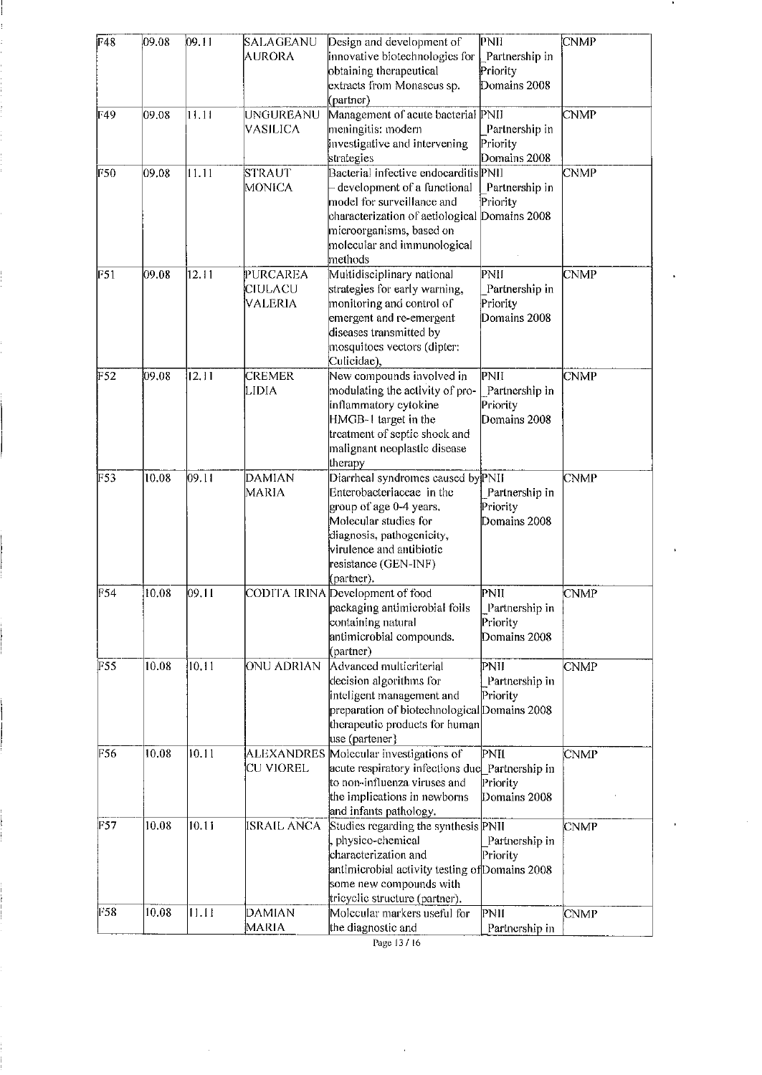| AURORA<br>innovative biotechnologies for<br>Partnership in<br>obtaining therapeutical<br>Priority<br>Domains 2008<br>extracts from Monascus sp.<br>(partner)<br>11.11<br>Management of acute bacterial PNII<br>UNGUREANU<br><b>CNMP</b><br>F49<br>09.08<br>meningitis: modern<br>VASILICA<br>Partnership in<br>investigative and intervening<br>Priority<br>Domains 2008<br>strategies<br>Bacterial infective endocarditisPNII<br>11.11<br><b>STRAUT</b><br><b>CNMP</b><br>09.08<br>F50<br>development of a functional<br>MONICA<br>Partnership in<br>model for surveillance and<br>Priority<br>characterization of aetiological Domains 2008<br>microorganisms, based on<br>molecular and immunological<br>methods<br>Multidisciplinary national<br>12.11<br>PURCAREA<br>PNII<br><b>CNMP</b><br> 09.08<br><b>F51</b><br>strategies for early warning,<br>CIULACU<br>Partnership in<br>monitoring and control of<br>Priority<br>VALERIA<br>Domains 2008<br>emergent and re-emergent<br>diseases transmitted by<br>mosquitoes vectors (dipter:<br>Culicidae),<br>New compounds involved in<br>12.11<br><b>CREMER</b><br>PNII<br><b>CNMP</b><br>F52<br>09.08<br>modulating the activity of pro-<br>LIDIA<br>Partnership in<br>inflammatory cytokine<br>Priority<br>HMGB-1 target in the<br>Domains 2008<br>treatment of septic shock and<br>malignant neoplastic disease<br>therapy<br>Diarrheal syndromes caused by PNII<br>10.08<br>09.11<br>DAMIAN<br>F 53<br><b>CNMP</b><br><b>MARIA</b><br>Enterobacteriaceae in the<br>Partnership in<br>group of age 0-4 years.<br>Priority<br>Molecular studies for<br>Domains 2008<br>diagnosis, pathogenicity,<br>virulence and antibiotic<br>resistance (GEN-INF)<br>(partner).<br>F54<br>10.08<br>09.11<br>CODITA IRINA Development of food<br>PNII<br><b>CNMP</b><br>packaging antimicrobial foils<br>Partnership in<br>containing natural<br>Priority<br>antimicrobial compounds.<br>Domains 2008<br>(partner)<br>10.08<br>10.11<br>Advanced multicriterial<br>F55<br>ONU ADRIAN<br>PNII<br><b>CNMP</b><br>decision algorithms for<br>Partnership in<br>inteligent management and<br>Priority<br>preparation of biotechnological Domains 2008<br>therapeutic products for human<br>use (partener)<br>10.11<br>ALEXANDRES Molecular investigations of<br>PNII<br>F56<br>10.08<br><b>CNMP</b><br><b>CU VIOREL</b><br>acute respiratory infections due<br>Partnership in<br>to non-influenza viruses and<br>Priority<br>the implications in newborns<br>Domains 2008<br>and infants pathology.<br>F57<br>10.08<br>10.11<br>ISRAIL ANCA<br>Studies regarding the synthesis PNII<br><b>CNMP</b> | F48 | 09.08 | 109.11 | SALAGEANU | Design and development of | PNII           | <b>CNMP</b> |
|----------------------------------------------------------------------------------------------------------------------------------------------------------------------------------------------------------------------------------------------------------------------------------------------------------------------------------------------------------------------------------------------------------------------------------------------------------------------------------------------------------------------------------------------------------------------------------------------------------------------------------------------------------------------------------------------------------------------------------------------------------------------------------------------------------------------------------------------------------------------------------------------------------------------------------------------------------------------------------------------------------------------------------------------------------------------------------------------------------------------------------------------------------------------------------------------------------------------------------------------------------------------------------------------------------------------------------------------------------------------------------------------------------------------------------------------------------------------------------------------------------------------------------------------------------------------------------------------------------------------------------------------------------------------------------------------------------------------------------------------------------------------------------------------------------------------------------------------------------------------------------------------------------------------------------------------------------------------------------------------------------------------------------------------------------------------------------------------------------------------------------------------------------------------------------------------------------------------------------------------------------------------------------------------------------------------------------------------------------------------------------------------------------------------------------------------------------------------------------------------------------------------------------------------------------------------------------------------------------------------------------------|-----|-------|--------|-----------|---------------------------|----------------|-------------|
|                                                                                                                                                                                                                                                                                                                                                                                                                                                                                                                                                                                                                                                                                                                                                                                                                                                                                                                                                                                                                                                                                                                                                                                                                                                                                                                                                                                                                                                                                                                                                                                                                                                                                                                                                                                                                                                                                                                                                                                                                                                                                                                                                                                                                                                                                                                                                                                                                                                                                                                                                                                                                                        |     |       |        |           |                           |                |             |
|                                                                                                                                                                                                                                                                                                                                                                                                                                                                                                                                                                                                                                                                                                                                                                                                                                                                                                                                                                                                                                                                                                                                                                                                                                                                                                                                                                                                                                                                                                                                                                                                                                                                                                                                                                                                                                                                                                                                                                                                                                                                                                                                                                                                                                                                                                                                                                                                                                                                                                                                                                                                                                        |     |       |        |           |                           |                |             |
|                                                                                                                                                                                                                                                                                                                                                                                                                                                                                                                                                                                                                                                                                                                                                                                                                                                                                                                                                                                                                                                                                                                                                                                                                                                                                                                                                                                                                                                                                                                                                                                                                                                                                                                                                                                                                                                                                                                                                                                                                                                                                                                                                                                                                                                                                                                                                                                                                                                                                                                                                                                                                                        |     |       |        |           |                           |                |             |
|                                                                                                                                                                                                                                                                                                                                                                                                                                                                                                                                                                                                                                                                                                                                                                                                                                                                                                                                                                                                                                                                                                                                                                                                                                                                                                                                                                                                                                                                                                                                                                                                                                                                                                                                                                                                                                                                                                                                                                                                                                                                                                                                                                                                                                                                                                                                                                                                                                                                                                                                                                                                                                        |     |       |        |           |                           |                |             |
|                                                                                                                                                                                                                                                                                                                                                                                                                                                                                                                                                                                                                                                                                                                                                                                                                                                                                                                                                                                                                                                                                                                                                                                                                                                                                                                                                                                                                                                                                                                                                                                                                                                                                                                                                                                                                                                                                                                                                                                                                                                                                                                                                                                                                                                                                                                                                                                                                                                                                                                                                                                                                                        |     |       |        |           |                           |                |             |
|                                                                                                                                                                                                                                                                                                                                                                                                                                                                                                                                                                                                                                                                                                                                                                                                                                                                                                                                                                                                                                                                                                                                                                                                                                                                                                                                                                                                                                                                                                                                                                                                                                                                                                                                                                                                                                                                                                                                                                                                                                                                                                                                                                                                                                                                                                                                                                                                                                                                                                                                                                                                                                        |     |       |        |           |                           |                |             |
|                                                                                                                                                                                                                                                                                                                                                                                                                                                                                                                                                                                                                                                                                                                                                                                                                                                                                                                                                                                                                                                                                                                                                                                                                                                                                                                                                                                                                                                                                                                                                                                                                                                                                                                                                                                                                                                                                                                                                                                                                                                                                                                                                                                                                                                                                                                                                                                                                                                                                                                                                                                                                                        |     |       |        |           |                           |                |             |
|                                                                                                                                                                                                                                                                                                                                                                                                                                                                                                                                                                                                                                                                                                                                                                                                                                                                                                                                                                                                                                                                                                                                                                                                                                                                                                                                                                                                                                                                                                                                                                                                                                                                                                                                                                                                                                                                                                                                                                                                                                                                                                                                                                                                                                                                                                                                                                                                                                                                                                                                                                                                                                        |     |       |        |           |                           |                |             |
|                                                                                                                                                                                                                                                                                                                                                                                                                                                                                                                                                                                                                                                                                                                                                                                                                                                                                                                                                                                                                                                                                                                                                                                                                                                                                                                                                                                                                                                                                                                                                                                                                                                                                                                                                                                                                                                                                                                                                                                                                                                                                                                                                                                                                                                                                                                                                                                                                                                                                                                                                                                                                                        |     |       |        |           |                           |                |             |
|                                                                                                                                                                                                                                                                                                                                                                                                                                                                                                                                                                                                                                                                                                                                                                                                                                                                                                                                                                                                                                                                                                                                                                                                                                                                                                                                                                                                                                                                                                                                                                                                                                                                                                                                                                                                                                                                                                                                                                                                                                                                                                                                                                                                                                                                                                                                                                                                                                                                                                                                                                                                                                        |     |       |        |           |                           |                |             |
|                                                                                                                                                                                                                                                                                                                                                                                                                                                                                                                                                                                                                                                                                                                                                                                                                                                                                                                                                                                                                                                                                                                                                                                                                                                                                                                                                                                                                                                                                                                                                                                                                                                                                                                                                                                                                                                                                                                                                                                                                                                                                                                                                                                                                                                                                                                                                                                                                                                                                                                                                                                                                                        |     |       |        |           |                           |                |             |
|                                                                                                                                                                                                                                                                                                                                                                                                                                                                                                                                                                                                                                                                                                                                                                                                                                                                                                                                                                                                                                                                                                                                                                                                                                                                                                                                                                                                                                                                                                                                                                                                                                                                                                                                                                                                                                                                                                                                                                                                                                                                                                                                                                                                                                                                                                                                                                                                                                                                                                                                                                                                                                        |     |       |        |           |                           |                |             |
|                                                                                                                                                                                                                                                                                                                                                                                                                                                                                                                                                                                                                                                                                                                                                                                                                                                                                                                                                                                                                                                                                                                                                                                                                                                                                                                                                                                                                                                                                                                                                                                                                                                                                                                                                                                                                                                                                                                                                                                                                                                                                                                                                                                                                                                                                                                                                                                                                                                                                                                                                                                                                                        |     |       |        |           |                           |                |             |
|                                                                                                                                                                                                                                                                                                                                                                                                                                                                                                                                                                                                                                                                                                                                                                                                                                                                                                                                                                                                                                                                                                                                                                                                                                                                                                                                                                                                                                                                                                                                                                                                                                                                                                                                                                                                                                                                                                                                                                                                                                                                                                                                                                                                                                                                                                                                                                                                                                                                                                                                                                                                                                        |     |       |        |           |                           |                |             |
|                                                                                                                                                                                                                                                                                                                                                                                                                                                                                                                                                                                                                                                                                                                                                                                                                                                                                                                                                                                                                                                                                                                                                                                                                                                                                                                                                                                                                                                                                                                                                                                                                                                                                                                                                                                                                                                                                                                                                                                                                                                                                                                                                                                                                                                                                                                                                                                                                                                                                                                                                                                                                                        |     |       |        |           |                           |                |             |
|                                                                                                                                                                                                                                                                                                                                                                                                                                                                                                                                                                                                                                                                                                                                                                                                                                                                                                                                                                                                                                                                                                                                                                                                                                                                                                                                                                                                                                                                                                                                                                                                                                                                                                                                                                                                                                                                                                                                                                                                                                                                                                                                                                                                                                                                                                                                                                                                                                                                                                                                                                                                                                        |     |       |        |           |                           |                |             |
|                                                                                                                                                                                                                                                                                                                                                                                                                                                                                                                                                                                                                                                                                                                                                                                                                                                                                                                                                                                                                                                                                                                                                                                                                                                                                                                                                                                                                                                                                                                                                                                                                                                                                                                                                                                                                                                                                                                                                                                                                                                                                                                                                                                                                                                                                                                                                                                                                                                                                                                                                                                                                                        |     |       |        |           |                           |                |             |
|                                                                                                                                                                                                                                                                                                                                                                                                                                                                                                                                                                                                                                                                                                                                                                                                                                                                                                                                                                                                                                                                                                                                                                                                                                                                                                                                                                                                                                                                                                                                                                                                                                                                                                                                                                                                                                                                                                                                                                                                                                                                                                                                                                                                                                                                                                                                                                                                                                                                                                                                                                                                                                        |     |       |        |           |                           |                |             |
|                                                                                                                                                                                                                                                                                                                                                                                                                                                                                                                                                                                                                                                                                                                                                                                                                                                                                                                                                                                                                                                                                                                                                                                                                                                                                                                                                                                                                                                                                                                                                                                                                                                                                                                                                                                                                                                                                                                                                                                                                                                                                                                                                                                                                                                                                                                                                                                                                                                                                                                                                                                                                                        |     |       |        |           |                           |                |             |
|                                                                                                                                                                                                                                                                                                                                                                                                                                                                                                                                                                                                                                                                                                                                                                                                                                                                                                                                                                                                                                                                                                                                                                                                                                                                                                                                                                                                                                                                                                                                                                                                                                                                                                                                                                                                                                                                                                                                                                                                                                                                                                                                                                                                                                                                                                                                                                                                                                                                                                                                                                                                                                        |     |       |        |           |                           |                |             |
|                                                                                                                                                                                                                                                                                                                                                                                                                                                                                                                                                                                                                                                                                                                                                                                                                                                                                                                                                                                                                                                                                                                                                                                                                                                                                                                                                                                                                                                                                                                                                                                                                                                                                                                                                                                                                                                                                                                                                                                                                                                                                                                                                                                                                                                                                                                                                                                                                                                                                                                                                                                                                                        |     |       |        |           |                           |                |             |
|                                                                                                                                                                                                                                                                                                                                                                                                                                                                                                                                                                                                                                                                                                                                                                                                                                                                                                                                                                                                                                                                                                                                                                                                                                                                                                                                                                                                                                                                                                                                                                                                                                                                                                                                                                                                                                                                                                                                                                                                                                                                                                                                                                                                                                                                                                                                                                                                                                                                                                                                                                                                                                        |     |       |        |           |                           |                |             |
|                                                                                                                                                                                                                                                                                                                                                                                                                                                                                                                                                                                                                                                                                                                                                                                                                                                                                                                                                                                                                                                                                                                                                                                                                                                                                                                                                                                                                                                                                                                                                                                                                                                                                                                                                                                                                                                                                                                                                                                                                                                                                                                                                                                                                                                                                                                                                                                                                                                                                                                                                                                                                                        |     |       |        |           |                           |                |             |
|                                                                                                                                                                                                                                                                                                                                                                                                                                                                                                                                                                                                                                                                                                                                                                                                                                                                                                                                                                                                                                                                                                                                                                                                                                                                                                                                                                                                                                                                                                                                                                                                                                                                                                                                                                                                                                                                                                                                                                                                                                                                                                                                                                                                                                                                                                                                                                                                                                                                                                                                                                                                                                        |     |       |        |           |                           |                |             |
|                                                                                                                                                                                                                                                                                                                                                                                                                                                                                                                                                                                                                                                                                                                                                                                                                                                                                                                                                                                                                                                                                                                                                                                                                                                                                                                                                                                                                                                                                                                                                                                                                                                                                                                                                                                                                                                                                                                                                                                                                                                                                                                                                                                                                                                                                                                                                                                                                                                                                                                                                                                                                                        |     |       |        |           |                           |                |             |
|                                                                                                                                                                                                                                                                                                                                                                                                                                                                                                                                                                                                                                                                                                                                                                                                                                                                                                                                                                                                                                                                                                                                                                                                                                                                                                                                                                                                                                                                                                                                                                                                                                                                                                                                                                                                                                                                                                                                                                                                                                                                                                                                                                                                                                                                                                                                                                                                                                                                                                                                                                                                                                        |     |       |        |           |                           |                |             |
|                                                                                                                                                                                                                                                                                                                                                                                                                                                                                                                                                                                                                                                                                                                                                                                                                                                                                                                                                                                                                                                                                                                                                                                                                                                                                                                                                                                                                                                                                                                                                                                                                                                                                                                                                                                                                                                                                                                                                                                                                                                                                                                                                                                                                                                                                                                                                                                                                                                                                                                                                                                                                                        |     |       |        |           |                           |                |             |
|                                                                                                                                                                                                                                                                                                                                                                                                                                                                                                                                                                                                                                                                                                                                                                                                                                                                                                                                                                                                                                                                                                                                                                                                                                                                                                                                                                                                                                                                                                                                                                                                                                                                                                                                                                                                                                                                                                                                                                                                                                                                                                                                                                                                                                                                                                                                                                                                                                                                                                                                                                                                                                        |     |       |        |           |                           |                |             |
|                                                                                                                                                                                                                                                                                                                                                                                                                                                                                                                                                                                                                                                                                                                                                                                                                                                                                                                                                                                                                                                                                                                                                                                                                                                                                                                                                                                                                                                                                                                                                                                                                                                                                                                                                                                                                                                                                                                                                                                                                                                                                                                                                                                                                                                                                                                                                                                                                                                                                                                                                                                                                                        |     |       |        |           |                           |                |             |
|                                                                                                                                                                                                                                                                                                                                                                                                                                                                                                                                                                                                                                                                                                                                                                                                                                                                                                                                                                                                                                                                                                                                                                                                                                                                                                                                                                                                                                                                                                                                                                                                                                                                                                                                                                                                                                                                                                                                                                                                                                                                                                                                                                                                                                                                                                                                                                                                                                                                                                                                                                                                                                        |     |       |        |           |                           |                |             |
|                                                                                                                                                                                                                                                                                                                                                                                                                                                                                                                                                                                                                                                                                                                                                                                                                                                                                                                                                                                                                                                                                                                                                                                                                                                                                                                                                                                                                                                                                                                                                                                                                                                                                                                                                                                                                                                                                                                                                                                                                                                                                                                                                                                                                                                                                                                                                                                                                                                                                                                                                                                                                                        |     |       |        |           |                           |                |             |
|                                                                                                                                                                                                                                                                                                                                                                                                                                                                                                                                                                                                                                                                                                                                                                                                                                                                                                                                                                                                                                                                                                                                                                                                                                                                                                                                                                                                                                                                                                                                                                                                                                                                                                                                                                                                                                                                                                                                                                                                                                                                                                                                                                                                                                                                                                                                                                                                                                                                                                                                                                                                                                        |     |       |        |           |                           |                |             |
|                                                                                                                                                                                                                                                                                                                                                                                                                                                                                                                                                                                                                                                                                                                                                                                                                                                                                                                                                                                                                                                                                                                                                                                                                                                                                                                                                                                                                                                                                                                                                                                                                                                                                                                                                                                                                                                                                                                                                                                                                                                                                                                                                                                                                                                                                                                                                                                                                                                                                                                                                                                                                                        |     |       |        |           |                           |                |             |
|                                                                                                                                                                                                                                                                                                                                                                                                                                                                                                                                                                                                                                                                                                                                                                                                                                                                                                                                                                                                                                                                                                                                                                                                                                                                                                                                                                                                                                                                                                                                                                                                                                                                                                                                                                                                                                                                                                                                                                                                                                                                                                                                                                                                                                                                                                                                                                                                                                                                                                                                                                                                                                        |     |       |        |           |                           |                |             |
|                                                                                                                                                                                                                                                                                                                                                                                                                                                                                                                                                                                                                                                                                                                                                                                                                                                                                                                                                                                                                                                                                                                                                                                                                                                                                                                                                                                                                                                                                                                                                                                                                                                                                                                                                                                                                                                                                                                                                                                                                                                                                                                                                                                                                                                                                                                                                                                                                                                                                                                                                                                                                                        |     |       |        |           |                           |                |             |
|                                                                                                                                                                                                                                                                                                                                                                                                                                                                                                                                                                                                                                                                                                                                                                                                                                                                                                                                                                                                                                                                                                                                                                                                                                                                                                                                                                                                                                                                                                                                                                                                                                                                                                                                                                                                                                                                                                                                                                                                                                                                                                                                                                                                                                                                                                                                                                                                                                                                                                                                                                                                                                        |     |       |        |           |                           |                |             |
|                                                                                                                                                                                                                                                                                                                                                                                                                                                                                                                                                                                                                                                                                                                                                                                                                                                                                                                                                                                                                                                                                                                                                                                                                                                                                                                                                                                                                                                                                                                                                                                                                                                                                                                                                                                                                                                                                                                                                                                                                                                                                                                                                                                                                                                                                                                                                                                                                                                                                                                                                                                                                                        |     |       |        |           |                           |                |             |
|                                                                                                                                                                                                                                                                                                                                                                                                                                                                                                                                                                                                                                                                                                                                                                                                                                                                                                                                                                                                                                                                                                                                                                                                                                                                                                                                                                                                                                                                                                                                                                                                                                                                                                                                                                                                                                                                                                                                                                                                                                                                                                                                                                                                                                                                                                                                                                                                                                                                                                                                                                                                                                        |     |       |        |           |                           |                |             |
|                                                                                                                                                                                                                                                                                                                                                                                                                                                                                                                                                                                                                                                                                                                                                                                                                                                                                                                                                                                                                                                                                                                                                                                                                                                                                                                                                                                                                                                                                                                                                                                                                                                                                                                                                                                                                                                                                                                                                                                                                                                                                                                                                                                                                                                                                                                                                                                                                                                                                                                                                                                                                                        |     |       |        |           |                           |                |             |
|                                                                                                                                                                                                                                                                                                                                                                                                                                                                                                                                                                                                                                                                                                                                                                                                                                                                                                                                                                                                                                                                                                                                                                                                                                                                                                                                                                                                                                                                                                                                                                                                                                                                                                                                                                                                                                                                                                                                                                                                                                                                                                                                                                                                                                                                                                                                                                                                                                                                                                                                                                                                                                        |     |       |        |           |                           |                |             |
|                                                                                                                                                                                                                                                                                                                                                                                                                                                                                                                                                                                                                                                                                                                                                                                                                                                                                                                                                                                                                                                                                                                                                                                                                                                                                                                                                                                                                                                                                                                                                                                                                                                                                                                                                                                                                                                                                                                                                                                                                                                                                                                                                                                                                                                                                                                                                                                                                                                                                                                                                                                                                                        |     |       |        |           |                           |                |             |
|                                                                                                                                                                                                                                                                                                                                                                                                                                                                                                                                                                                                                                                                                                                                                                                                                                                                                                                                                                                                                                                                                                                                                                                                                                                                                                                                                                                                                                                                                                                                                                                                                                                                                                                                                                                                                                                                                                                                                                                                                                                                                                                                                                                                                                                                                                                                                                                                                                                                                                                                                                                                                                        |     |       |        |           |                           |                |             |
|                                                                                                                                                                                                                                                                                                                                                                                                                                                                                                                                                                                                                                                                                                                                                                                                                                                                                                                                                                                                                                                                                                                                                                                                                                                                                                                                                                                                                                                                                                                                                                                                                                                                                                                                                                                                                                                                                                                                                                                                                                                                                                                                                                                                                                                                                                                                                                                                                                                                                                                                                                                                                                        |     |       |        |           |                           |                |             |
|                                                                                                                                                                                                                                                                                                                                                                                                                                                                                                                                                                                                                                                                                                                                                                                                                                                                                                                                                                                                                                                                                                                                                                                                                                                                                                                                                                                                                                                                                                                                                                                                                                                                                                                                                                                                                                                                                                                                                                                                                                                                                                                                                                                                                                                                                                                                                                                                                                                                                                                                                                                                                                        |     |       |        |           |                           |                |             |
|                                                                                                                                                                                                                                                                                                                                                                                                                                                                                                                                                                                                                                                                                                                                                                                                                                                                                                                                                                                                                                                                                                                                                                                                                                                                                                                                                                                                                                                                                                                                                                                                                                                                                                                                                                                                                                                                                                                                                                                                                                                                                                                                                                                                                                                                                                                                                                                                                                                                                                                                                                                                                                        |     |       |        |           |                           |                |             |
|                                                                                                                                                                                                                                                                                                                                                                                                                                                                                                                                                                                                                                                                                                                                                                                                                                                                                                                                                                                                                                                                                                                                                                                                                                                                                                                                                                                                                                                                                                                                                                                                                                                                                                                                                                                                                                                                                                                                                                                                                                                                                                                                                                                                                                                                                                                                                                                                                                                                                                                                                                                                                                        |     |       |        |           |                           |                |             |
|                                                                                                                                                                                                                                                                                                                                                                                                                                                                                                                                                                                                                                                                                                                                                                                                                                                                                                                                                                                                                                                                                                                                                                                                                                                                                                                                                                                                                                                                                                                                                                                                                                                                                                                                                                                                                                                                                                                                                                                                                                                                                                                                                                                                                                                                                                                                                                                                                                                                                                                                                                                                                                        |     |       |        |           |                           |                |             |
|                                                                                                                                                                                                                                                                                                                                                                                                                                                                                                                                                                                                                                                                                                                                                                                                                                                                                                                                                                                                                                                                                                                                                                                                                                                                                                                                                                                                                                                                                                                                                                                                                                                                                                                                                                                                                                                                                                                                                                                                                                                                                                                                                                                                                                                                                                                                                                                                                                                                                                                                                                                                                                        |     |       |        |           |                           |                |             |
|                                                                                                                                                                                                                                                                                                                                                                                                                                                                                                                                                                                                                                                                                                                                                                                                                                                                                                                                                                                                                                                                                                                                                                                                                                                                                                                                                                                                                                                                                                                                                                                                                                                                                                                                                                                                                                                                                                                                                                                                                                                                                                                                                                                                                                                                                                                                                                                                                                                                                                                                                                                                                                        |     |       |        |           |                           |                |             |
|                                                                                                                                                                                                                                                                                                                                                                                                                                                                                                                                                                                                                                                                                                                                                                                                                                                                                                                                                                                                                                                                                                                                                                                                                                                                                                                                                                                                                                                                                                                                                                                                                                                                                                                                                                                                                                                                                                                                                                                                                                                                                                                                                                                                                                                                                                                                                                                                                                                                                                                                                                                                                                        |     |       |        |           |                           |                |             |
|                                                                                                                                                                                                                                                                                                                                                                                                                                                                                                                                                                                                                                                                                                                                                                                                                                                                                                                                                                                                                                                                                                                                                                                                                                                                                                                                                                                                                                                                                                                                                                                                                                                                                                                                                                                                                                                                                                                                                                                                                                                                                                                                                                                                                                                                                                                                                                                                                                                                                                                                                                                                                                        |     |       |        |           |                           |                |             |
|                                                                                                                                                                                                                                                                                                                                                                                                                                                                                                                                                                                                                                                                                                                                                                                                                                                                                                                                                                                                                                                                                                                                                                                                                                                                                                                                                                                                                                                                                                                                                                                                                                                                                                                                                                                                                                                                                                                                                                                                                                                                                                                                                                                                                                                                                                                                                                                                                                                                                                                                                                                                                                        |     |       |        |           | physico-chemical          | Partnership in |             |
| characterization and<br>Priority                                                                                                                                                                                                                                                                                                                                                                                                                                                                                                                                                                                                                                                                                                                                                                                                                                                                                                                                                                                                                                                                                                                                                                                                                                                                                                                                                                                                                                                                                                                                                                                                                                                                                                                                                                                                                                                                                                                                                                                                                                                                                                                                                                                                                                                                                                                                                                                                                                                                                                                                                                                                       |     |       |        |           |                           |                |             |
| antimicrobial activity testing of Domains 2008                                                                                                                                                                                                                                                                                                                                                                                                                                                                                                                                                                                                                                                                                                                                                                                                                                                                                                                                                                                                                                                                                                                                                                                                                                                                                                                                                                                                                                                                                                                                                                                                                                                                                                                                                                                                                                                                                                                                                                                                                                                                                                                                                                                                                                                                                                                                                                                                                                                                                                                                                                                         |     |       |        |           |                           |                |             |
| some new compounds with                                                                                                                                                                                                                                                                                                                                                                                                                                                                                                                                                                                                                                                                                                                                                                                                                                                                                                                                                                                                                                                                                                                                                                                                                                                                                                                                                                                                                                                                                                                                                                                                                                                                                                                                                                                                                                                                                                                                                                                                                                                                                                                                                                                                                                                                                                                                                                                                                                                                                                                                                                                                                |     |       |        |           |                           |                |             |
| tricyclic structure (partner).<br> F58<br>11.11<br>Molecular markers useful for<br>10.08<br>DAMIAN<br>PNII                                                                                                                                                                                                                                                                                                                                                                                                                                                                                                                                                                                                                                                                                                                                                                                                                                                                                                                                                                                                                                                                                                                                                                                                                                                                                                                                                                                                                                                                                                                                                                                                                                                                                                                                                                                                                                                                                                                                                                                                                                                                                                                                                                                                                                                                                                                                                                                                                                                                                                                             |     |       |        |           |                           |                |             |
| <b>CNMP</b><br>the diagnostic and<br>MARIA<br>Partnership in                                                                                                                                                                                                                                                                                                                                                                                                                                                                                                                                                                                                                                                                                                                                                                                                                                                                                                                                                                                                                                                                                                                                                                                                                                                                                                                                                                                                                                                                                                                                                                                                                                                                                                                                                                                                                                                                                                                                                                                                                                                                                                                                                                                                                                                                                                                                                                                                                                                                                                                                                                           |     |       |        |           |                           |                |             |
| Page 13/16                                                                                                                                                                                                                                                                                                                                                                                                                                                                                                                                                                                                                                                                                                                                                                                                                                                                                                                                                                                                                                                                                                                                                                                                                                                                                                                                                                                                                                                                                                                                                                                                                                                                                                                                                                                                                                                                                                                                                                                                                                                                                                                                                                                                                                                                                                                                                                                                                                                                                                                                                                                                                             |     |       |        |           |                           |                |             |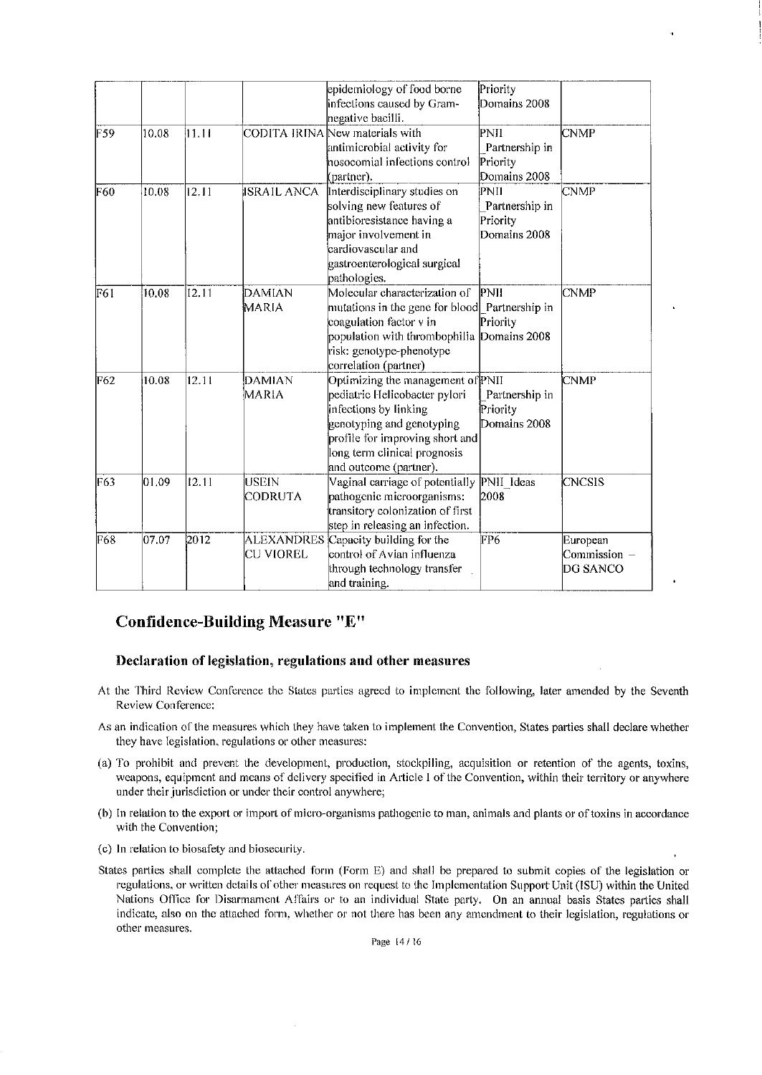|     |       |       |             | epidemiology of food borne                     | Priority       |               |
|-----|-------|-------|-------------|------------------------------------------------|----------------|---------------|
|     |       |       |             | infections caused by Gram-                     | Domains 2008   |               |
|     |       |       |             | negative bacilli.                              |                |               |
| F59 | 10.08 | 11.11 |             | CODITA IRINA New materials with                | PNII           | CNMP          |
|     |       |       |             | antimicrobial activity for                     | Partnership in |               |
|     |       |       |             | nosocomial infections control                  | Priority       |               |
|     |       |       |             | (partner).                                     | Domains 2008   |               |
| F60 | 10.08 | 12.11 | ISRAIL ANCA | Interdisciplinary studies on                   | PNII           | <b>CNMP</b>   |
|     |       |       |             | solving new features of                        | Partnership in |               |
|     |       |       |             | antibioresistance having a                     | Priority       |               |
|     |       |       |             | major involvement in                           | Domains 2008   |               |
|     |       |       |             | cardiovascular and                             |                |               |
|     |       |       |             | gastroenterological surgical                   |                |               |
|     |       |       |             | pathologies.                                   |                |               |
| F61 | 10.08 | 12.11 | DAMIAN      | Molecular characterization of                  | PNII           | <b>CNMP</b>   |
|     |       |       | MARIA       | mutations in the gene for blood Partnership in |                |               |
|     |       |       |             | coagulation factor v in                        | Priority       |               |
|     |       |       |             | population with thrombophilia Domains 2008     |                |               |
|     |       |       |             | risk: genotype-phenotype                       |                |               |
|     |       |       |             | correlation (partner)                          |                |               |
| F62 | 10.08 | 12.11 | DAMIAN      | Optimizing the management of PNII              |                | <b>CNMP</b>   |
|     |       |       | MARIA       | pediatric Helicobacter pylori                  | Partnership in |               |
|     |       |       |             | infections by linking                          | Priority       |               |
|     |       |       |             | genotyping and genotyping                      | Domains 2008   |               |
|     |       |       |             | profile for improving short and                |                |               |
|     |       |       |             | long term clinical prognosis                   |                |               |
|     |       |       |             | and outcome (partner).                         |                |               |
| F63 | 01.09 | 12.11 | USEIN       | Vaginal carriage of potentially                | PNII Ideas     | <b>CNCSIS</b> |
|     |       |       | CODRUTA     | pathogenic microorganisms:                     | 2008           |               |
|     |       |       |             | transitory colonization of first               |                |               |
|     |       |       |             | step in releasing an infection.                |                |               |
| F68 | 07.07 | 2012  |             | ALEXANDRES Capacity building for the           | FP6            | European      |
|     |       |       | CU VIOREL   | control of Avian influenza                     |                | Commission -  |
|     |       |       |             | through technology transfer                    |                | DG SANCO      |
|     |       |       |             | and training.                                  |                |               |

# **Confidence-Building Measure "E"**

### **Declaration of legislation, regulations and other measures**

- At the Third Review Conference the States parties agreed to implement the following, later amended by the Seventh Review Conference:
- As an indication of the measures which they have taken to implement the Convention, States parties shall declare whether they have legislation, regulations or other measures:
- (a) To prohibit and prevent the development, production, stockpiling, acquisition or retention of the agents, toxins, weapons, equipment and means of delivery specified in Article I of the Convention, within their territory or anywhere under their jurisdiction or under their control anywhere;
- (b) In relation to the export or import of micro-organisms pathogenic to man, animals and plants or of toxins in accordance with the Convention;
- (c) In relation to biosafely and biosecurity.
- States parties shall complete lhc attached form (Form E) and shall be prepared to submit copies of the legislation or regulations, or written details of other measures on request to the Implementation Support Unit (ISU) within the United Nations Office for Disarmament Affairs or to an individual State party. On an annual basis States parties shall indicate, also on the attached form, whether or not there has been any amendment to their legislation, regulations or other measures.

Page 14/ 16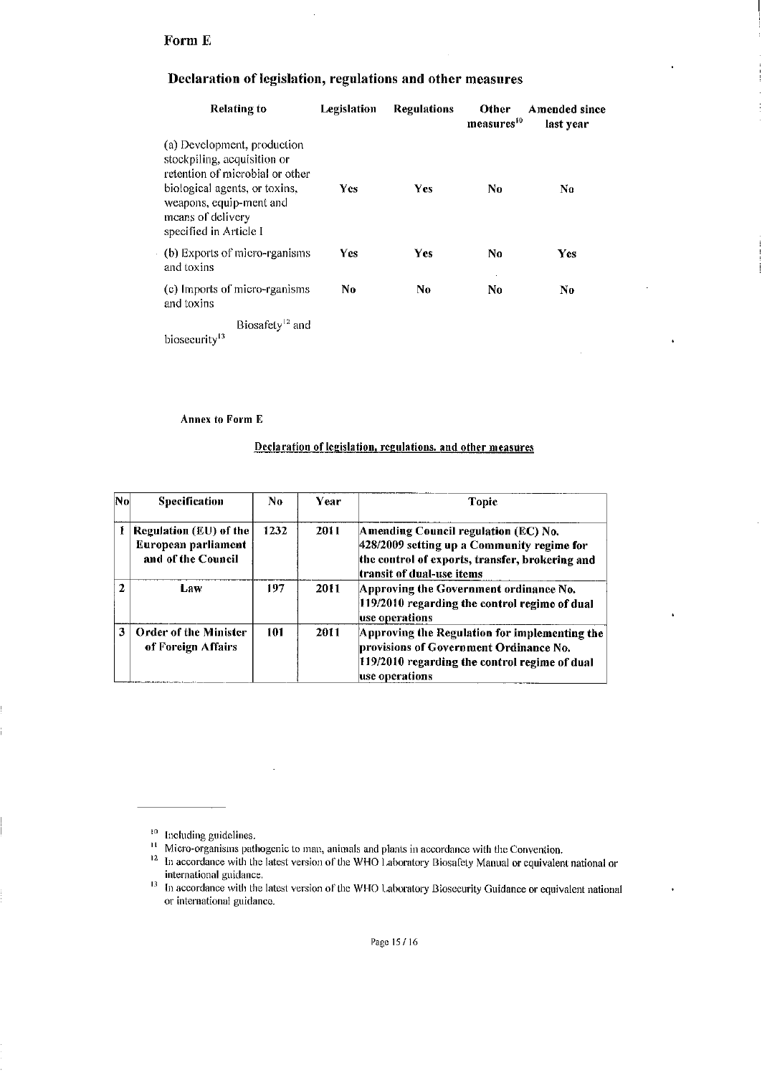### FormE

| Relating to                                                                                                                                                                                              | Legislation | <b>Regulations</b> | Other<br>measures <sup>10</sup> | Amended since<br>last year |
|----------------------------------------------------------------------------------------------------------------------------------------------------------------------------------------------------------|-------------|--------------------|---------------------------------|----------------------------|
| (a) Development, production<br>stockpiling, acquisition or<br>retention of microbial or other<br>biological agents, or toxins,<br>weapons, equip-ment and<br>means of delivery<br>specified in Article I | <b>Yes</b>  | <b>Yes</b>         | No                              | No                         |
| (b) Exports of micro-rganisms<br>and toxins                                                                                                                                                              | Yes         | Yes                | No                              | Yes                        |
| (c) Imports of micro-rganisms<br>and toxins                                                                                                                                                              | No          | No.                | No                              | No                         |
| Biosafety <sup>12</sup> and<br>biosecurity <sup>13</sup>                                                                                                                                                 |             |                    |                                 |                            |

## Declaration of legislation, regulations and other measures

**Annex to Form E** 

### **Declaration of legislation, regulations. and other measures**

| $\mathbf{N}\mathbf{o}$ | <b>Specification</b>                                                | No.  | Year | <b>Topic</b>                                                                                                                                                       |
|------------------------|---------------------------------------------------------------------|------|------|--------------------------------------------------------------------------------------------------------------------------------------------------------------------|
|                        | Regulation (EU) of the<br>European parliament<br>and of the Council | 1232 | 2011 | Amending Council regulation (EC) No.<br>428/2009 setting up a Community regime for<br>the control of exports, transfer, brokering and<br>transit of dual-use items |
| $\mathcal{L}$          | Law                                                                 | 197  | 2011 | Approving the Government ordinance No.<br>119/2010 regarding the control regime of dual<br>use operations                                                          |
| 3                      | <b>Order of the Minister</b><br>of Foreign Affairs                  | 101  | 2011 | Approving the Regulation for implementing the<br>provisions of Government Ordinance No.<br>119/2010 regarding the control regime of dual<br>use operations         |

<sup>&</sup>lt;sup>10</sup> Including guidelines.<br><sup>11</sup> Micro-organisms pathogenic to man, animals and plants in accordance with the Convention.

<sup>12</sup> In accordance with the latest version of the WHO Laboratory Biosafety Manual or equivalent national or<br>international guidance.

<sup>&</sup>lt;sup>13</sup> In accordance with the latest version of the WHO Laboratory Biosecurity Guidance or equivalent national or international guidance.